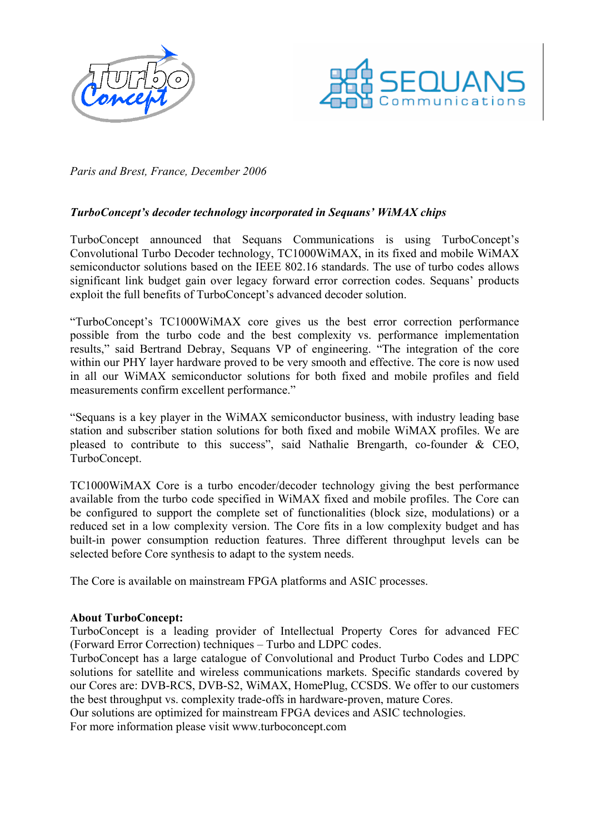



Paris and Brest, France, December 2006

## TurboConcept's decoder technology incorporated in Sequans' WiMAX chips

TurboConcept announced that Sequans Communications is using TurboConcept's Convolutional Turbo Decoder technology, TC1000WiMAX, in its fixed and mobile WiMAX semiconductor solutions based on the IEEE 802.16 standards. The use of turbo codes allows significant link budget gain over legacy forward error correction codes. Sequans' products exploit the full benefits of TurboConcept's advanced decoder solution.

"TurboConcept's TC1000WiMAX core gives us the best error correction performance possible from the turbo code and the best complexity vs. performance implementation results," said Bertrand Debray, Sequans VP of engineering. "The integration of the core within our PHY layer hardware proved to be very smooth and effective. The core is now used in all our WiMAX semiconductor solutions for both fixed and mobile profiles and field measurements confirm excellent performance."

"Sequans is a key player in the WiMAX semiconductor business, with industry leading base station and subscriber station solutions for both fixed and mobile WiMAX profiles. We are pleased to contribute to this success", said Nathalie Brengarth, co-founder & CEO, TurboConcept.

TC1000WiMAX Core is a turbo encoder/decoder technology giving the best performance available from the turbo code specified in WiMAX fixed and mobile profiles. The Core can be configured to support the complete set of functionalities (block size, modulations) or a reduced set in a low complexity version. The Core fits in a low complexity budget and has built-in power consumption reduction features. Three different throughput levels can be selected before Core synthesis to adapt to the system needs.

The Core is available on mainstream FPGA platforms and ASIC processes.

## About TurboConcept:

TurboConcept is a leading provider of Intellectual Property Cores for advanced FEC (Forward Error Correction) techniques – Turbo and LDPC codes.

TurboConcept has a large catalogue of Convolutional and Product Turbo Codes and LDPC solutions for satellite and wireless communications markets. Specific standards covered by our Cores are: DVB-RCS, DVB-S2, WiMAX, HomePlug, CCSDS. We offer to our customers the best throughput vs. complexity trade-offs in hardware-proven, mature Cores.

Our solutions are optimized for mainstream FPGA devices and ASIC technologies.

For more information please visit www.turboconcept.com